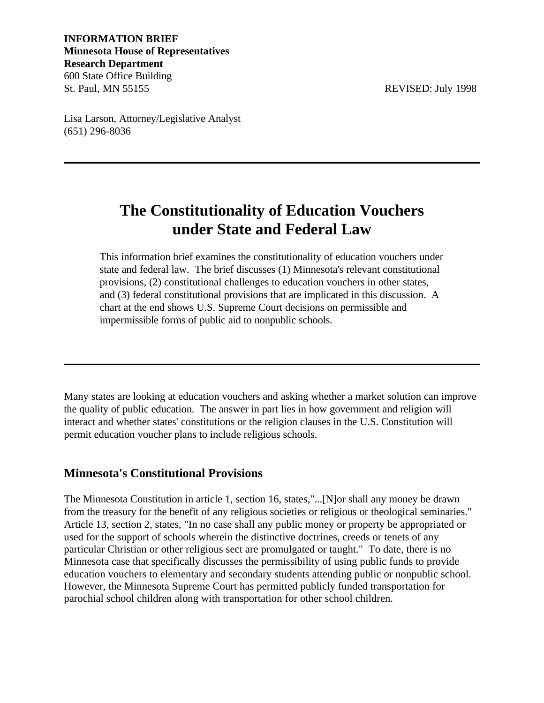## **INFORMATION BRIEF Minnesota House of Representatives Research Department** 600 State Office Building St. Paul, MN 55155 REVISED: July 1998

Lisa Larson, Attorney/Legislative Analyst (651) 296-8036

# **The Constitutionality of Education Vouchers under State and Federal Law**

This information brief examines the constitutionality of education vouchers under state and federal law. The brief discusses (1) Minnesota's relevant constitutional provisions, (2) constitutional challenges to education vouchers in other states, and (3) federal constitutional provisions that are implicated in this discussion. A chart at the end shows U.S. Supreme Court decisions on permissible and impermissible forms of public aid to nonpublic schools.

Many states are looking at education vouchers and asking whether a market solution can improve the quality of public education. The answer in part lies in how government and religion will interact and whether states' constitutions or the religion clauses in the U.S. Constitution will permit education voucher plans to include religious schools.

# **Minnesota's Constitutional Provisions**

The Minnesota Constitution in article 1, section 16, states,"...[N]or shall any money be drawn from the treasury for the benefit of any religious societies or religious or theological seminaries." Article 13, section 2, states, "In no case shall any public money or property be appropriated or used for the support of schools wherein the distinctive doctrines, creeds or tenets of any particular Christian or other religious sect are promulgated or taught." To date, there is no Minnesota case that specifically discusses the permissibility of using public funds to provide education vouchers to elementary and secondary students attending public or nonpublic school. However, the Minnesota Supreme Court has permitted publicly funded transportation for parochial school children along with transportation for other school children.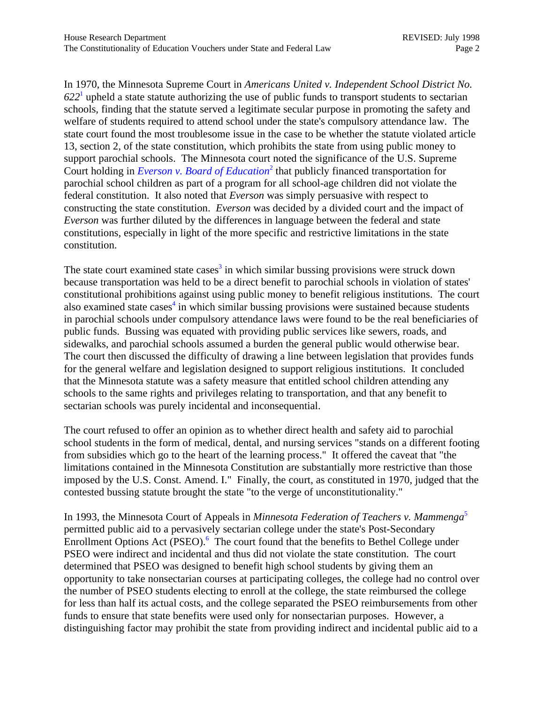In 1970, the Minnesota Supreme Court in *Americans United v. Independent School District No. 622*<sup>1</sup>  [u](#page-9-0)pheld a state statute authorizing the use of public funds to transport students to sectarian schools, finding that the statute served a legitimate secular purpose in promoting the safety and welfare of students required to attend school under the state's compulsory attendance law. The state court found the most troublesome issue in the case to be whether the statute violated article 13, section 2, of the state constitution, which prohibits the state from using public money to support parochial schools. The Minnesota court noted the significance of the U.S. Supreme Court holding in *[Everson v. Board of Education](http://laws.findlaw.com/US/330/1.html)*<sup>2</sup> [th](#page-9-0)at publicly financed transportation for parochial school children as part of a program for all school-age children did not violate the federal constitution. It also noted that *Everson* was simply persuasive with respect to constructing the state constitution. *Everson* was decided by a divided court and the impact of *Everson* was further diluted by the differences in language between the federal and state constitutions, especially in light of the more specific and restrictive limitations in the state constitution.

The state court examined state cases<sup>3</sup> [in](#page-9-0) which similar bussing provisions were struck down because transportation was held to be a direct benefit to parochial schools in violation of states' constitutional prohibitions against using public money to benefit religious institutions. The court also examined state cases<sup>4</sup> in which similar bussing provisions were sustained because students in parochial schools under compulsory attendance laws were found to be the real beneficiaries of public funds. Bussing was equated with providing public services like sewers, roads, and sidewalks, and parochial schools assumed a burden the general public would otherwise bear. The court then discussed the difficulty of drawing a line between legislation that provides funds for the general welfare and legislation designed to support religious institutions. It concluded that the Minnesota statute was a safety measure that entitled school children attending any schools to the same rights and privileges relating to transportation, and that any benefit to sectarian schools was purely incidental and inconsequential.

The court refused to offer an opinion as to whether direct health and safety aid to parochial school students in the form of medical, dental, and nursing services "stands on a different footing from subsidies which go to the heart of the learning process." It offered the caveat that "the limitations contained in the Minnesota Constitution are substantially more restrictive than those imposed by the U.S. Const. Amend. I." Finally, the court, as constituted in 1970, judged that the contested bussing statute brought the state "to the verge of unconstitutionality."

In 1993, the Minnesota Court of Appeals in *Minnesota Federation of Teachers v. Mammeng[a](#page-9-0)*<sup>5</sup> permitted public aid to a pervas[ivel](#page-9-0)y sectarian college under the state's Post-Secondary Enrollment Options Act (PSEO).<sup>6</sup> The court found that the benefits to Bethel College under PSEO were indirect and incidental and thus did not violate the state constitution. The court determined that PSEO was designed to benefit high school students by giving them an opportunity to take nonsectarian courses at participating colleges, the college had no control over the number of PSEO students electing to enroll at the college, the state reimbursed the college for less than half its actual costs, and the college separated the PSEO reimbursements from other funds to ensure that state benefits were used only for nonsectarian purposes. However, a distinguishing factor may prohibit the state from providing indirect and incidental public aid to a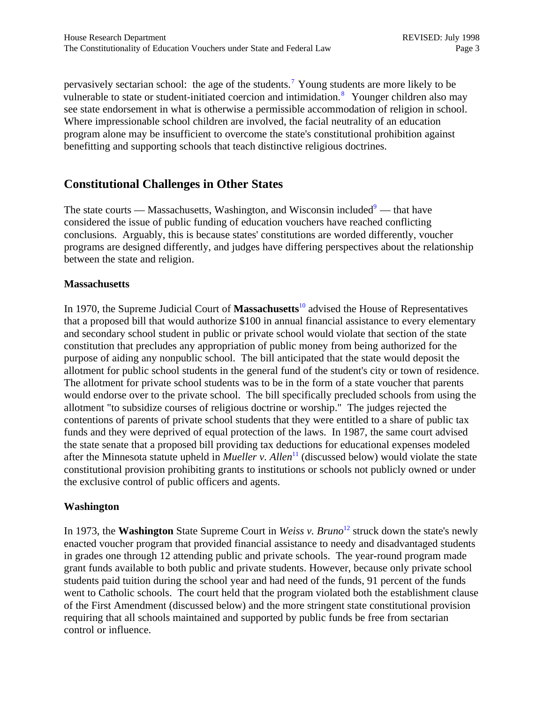pervasively sectarian school: the age of the students.<sup>7</sup> [Y](#page-9-0)oung students are more likely to be vulnerable to state or student-initiated coercion and intimidation.<sup>8</sup> Younger children also may see state endorsement in what is otherwise a permissible accommodation of religion in school. Where impressionable school children are involved, the facial neutrality of an education program alone may be insufficient to overcome the state's constitutional prohibition against benefitting and supporting schools that teach distinctive religious doctrines.

# **Constitutional Challenges in Other States**

The state courts [—](#page-10-0) Massachusetts, Washington, and Wisconsin included $9$  — that have considered the issue of public funding of education vouchers have reached conflicting conclusions. Arguably, this is because states' constitutions are worded differently, voucher programs are designed differently, and judges have differing perspectives about the relationship between the state and religion.

#### **Massachusetts**

In 1970, the Supreme Judicial Court of **Massachusetts**[10 ad](#page-10-0)vised the House of Representatives that a proposed bill that would authorize \$100 in annual financial assistance to every elementary and secondary school student in public or private school would violate that section of the state constitution that precludes any appropriation of public money from being authorized for the purpose of aiding any nonpublic school. The bill anticipated that the state would deposit the allotment for public school students in the general fund of the student's city or town of residence. The allotment for private school students was to be in the form of a state voucher that parents would endorse over to the private school. The bill specifically precluded schools from using the allotment "to subsidize courses of religious doctrine or worship." The judges rejected the contentions of parents of private school students that they were entitled to a share of public tax funds and they were deprived of equal protection of the laws. In 1987, the same court advised the state senate that a proposed bill providing tax deductions for educational expenses modeled after the Minnesota statute upheld in *Mueller v. Allen*<sup>11</sup> (discussed below) would violate the state constitutional provision prohibiting grants to institutions or schools not publicly owned or under the exclusive control of public officers and agents.

## **Washington**

In 1973, the **Washington** State Supreme Court in *Weiss v. Bruno*<sup>12</sup> struck down the state's newly enacted voucher program that provided financial assistance to needy and disadvantaged students in grades one through 12 attending public and private schools. The year-round program made grant funds available to both public and private students. However, because only private school students paid tuition during the school year and had need of the funds, 91 percent of the funds went to Catholic schools. The court held that the program violated both the establishment clause of the First Amendment (discussed below) and the more stringent state constitutional provision requiring that all schools maintained and supported by public funds be free from sectarian control or influence.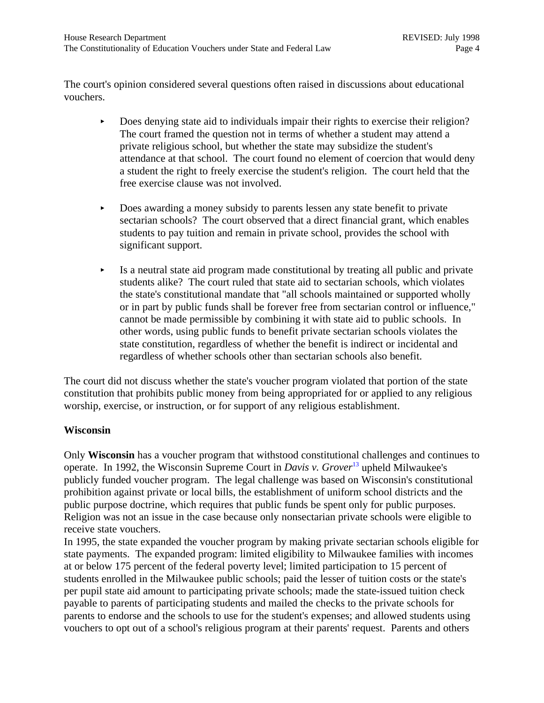The court's opinion considered several questions often raised in discussions about educational vouchers.

- Does denying state aid to individuals impair their rights to exercise their religion? The court framed the question not in terms of whether a student may attend a private religious school, but whether the state may subsidize the student's attendance at that school. The court found no element of coercion that would deny a student the right to freely exercise the student's religion. The court held that the free exercise clause was not involved.
- **EXECUTE:** Does awarding a money subsidy to parents lessen any state benefit to private sectarian schools? The court observed that a direct financial grant, which enables students to pay tuition and remain in private school, provides the school with significant support.
- $\blacktriangleright$  Is a neutral state aid program made constitutional by treating all public and private students alike? The court ruled that state aid to sectarian schools, which violates the state's constitutional mandate that "all schools maintained or supported wholly or in part by public funds shall be forever free from sectarian control or influence," cannot be made permissible by combining it with state aid to public schools. In other words, using public funds to benefit private sectarian schools violates the state constitution, regardless of whether the benefit is indirect or incidental and regardless of whether schools other than sectarian schools also benefit.

The court did not discuss whether the state's voucher program violated that portion of the state constitution that prohibits public money from being appropriated for or applied to any religious worship, exercise, or instruction, or for support of any religious establishment.

#### **Wisconsin**

Only **Wisconsin** has a voucher program that withstood constitutional challenges and continues to operate. In 1992, the Wisconsin Supreme Court in *Davis v. Grover*[13 u](#page-10-0)pheld Milwaukee's publicly funded voucher program. The legal challenge was based on Wisconsin's constitutional prohibition against private or local bills, the establishment of uniform school districts and the public purpose doctrine, which requires that public funds be spent only for public purposes. Religion was not an issue in the case because only nonsectarian private schools were eligible to receive state vouchers.

In 1995, the state expanded the voucher program by making private sectarian schools eligible for state payments. The expanded program: limited eligibility to Milwaukee families with incomes at or below 175 percent of the federal poverty level; limited participation to 15 percent of students enrolled in the Milwaukee public schools; paid the lesser of tuition costs or the state's per pupil state aid amount to participating private schools; made the state-issued tuition check payable to parents of participating students and mailed the checks to the private schools for parents to endorse and the schools to use for the student's expenses; and allowed students using vouchers to opt out of a school's religious program at their parents' request. Parents and others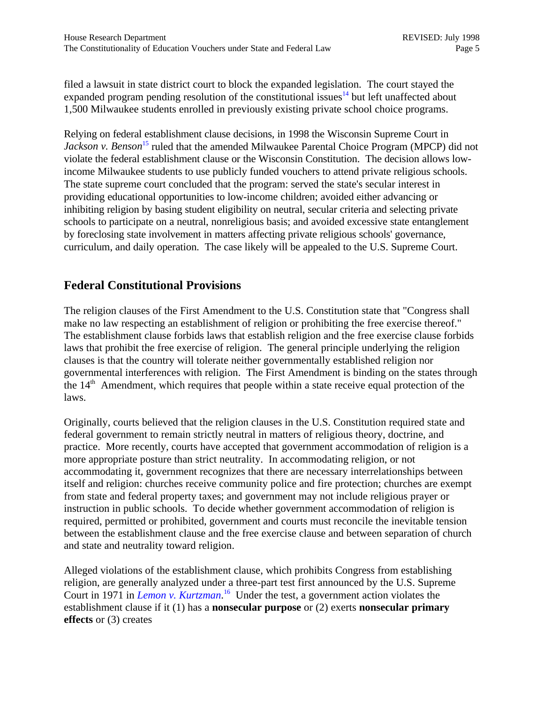filed a lawsuit in state district court to block the expanded legislation. The court stayed the expanded program pending resolution of the constitutional issues<sup>14</sup> but left unaffected about 1,500 Milwaukee students enrolled in previously existing private school choice programs.

Relying on federal establishment clause decisions, in 1998 the Wisconsin Supreme Court in *Jackson v. Benson*<sup>15</sup> ruled that the amended Milwaukee Parental Choice Program (MPCP) did not violate the federal establishment clause or the Wisconsin Constitution. The decision allows lowincome Milwaukee students to use publicly funded vouchers to attend private religious schools. The state supreme court concluded that the program: served the state's secular interest in providing educational opportunities to low-income children; avoided either advancing or inhibiting religion by basing student eligibility on neutral, secular criteria and selecting private schools to participate on a neutral, nonreligious basis; and avoided excessive state entanglement by foreclosing state involvement in matters affecting private religious schools' governance, curriculum, and daily operation. The case likely will be appealed to the U.S. Supreme Court.

## **Federal Constitutional Provisions**

The religion clauses of the First Amendment to the U.S. Constitution state that "Congress shall make no law respecting an establishment of religion or prohibiting the free exercise thereof." The establishment clause forbids laws that establish religion and the free exercise clause forbids laws that prohibit the free exercise of religion. The general principle underlying the religion clauses is that the country will tolerate neither governmentally established religion nor governmental interferences with religion. The First Amendment is binding on the states through the  $14<sup>th</sup>$  Amendment, which requires that people within a state receive equal protection of the laws.

Originally, courts believed that the religion clauses in the U.S. Constitution required state and federal government to remain strictly neutral in matters of religious theory, doctrine, and practice. More recently, courts have accepted that government accommodation of religion is a more appropriate posture than strict neutrality. In accommodating religion, or not accommodating it, government recognizes that there are necessary interrelationships between itself and religion: churches receive community police and fire protection; churches are exempt from state and federal property taxes; and government may not include religious prayer or instruction in public schools. To decide whether government accommodation of religion is required, permitted or prohibited, government and courts must reconcile the inevitable tension between the establishment clause and the free exercise clause and between separation of church and state and neutrality toward religion.

Alleged violations of the establishment clause, which prohibits Congress from establishing religion, are generally analyzed under a three-part test first announced by the U.S. Supreme Court in 1971 in *[Lemon v. Kurtzman](http://laws.findlaw.com/US/403/602.html)*. [16 U](#page-10-0)nder the test, a government action violates the establishment clause if it (1) has a **nonsecular purpose** or (2) exerts **nonsecular primary effects** or (3) creates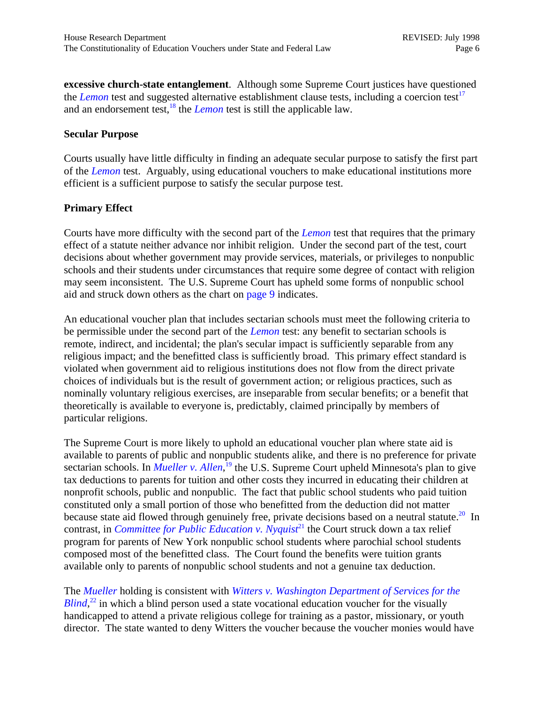**excessive church-state entanglement**. Although some Supreme Court justices have questioned the *[Lemon](http://laws.findlaw.com/US/403/602.html)* test and suggested alternative establishment clause tests, including a coercion test<sup>[17](#page-10-0)</sup> and an endorsement test,  $\frac{18}{3}$  the *[Lemon](http://laws.findlaw.com/US/403/602.html)* test is still the applicable law.

#### **Secular Purpose**

Courts usually have little difficulty in finding an adequate secular purpose to satisfy the first part of the *[Lemon](http://laws.findlaw.com/US/403/602.html)* test. Arguably, using educational vouchers to make educational institutions more efficient is a sufficient purpose to satisfy the secular purpose test.

#### **Primary Effect**

Courts have more difficulty with the second part of the *[Lemon](http://laws.findlaw.com/US/403/602.html)* test that requires that the primary effect of a statute neither advance nor inhibit religion. Under the second part of the test, court decisions about whether government may provide services, materials, or privileges to nonpublic schools and their students under circumstances that require some degree of contact with religion may seem inconsistent. The U.S. Supreme Court has upheld some forms of nonpublic school aid and struck down others as the chart on [page 9 i](#page-8-0)ndicates.

An educational voucher plan that includes sectarian schools must meet the following criteria to be permissible under the second part of the *[Lemon](http://laws.findlaw.com/US/403/602.html)* test: any benefit to sectarian schools is remote, indirect, and incidental; the plan's secular impact is sufficiently separable from any religious impact; and the benefitted class is sufficiently broad. This primary effect standard is violated when government aid to religious institutions does not flow from the direct private choices of individuals but is the result of government action; or religious practices, such as nominally voluntary religious exercises, are inseparable from secular benefits; or a benefit that theoretically is available to everyone is, predictably, claimed principally by members of particular religions.

The Supreme Court is more likely to uphold an educational voucher plan where state aid is available to parents of public and nonpublic students alike, and there is no preference for private sectarian schools. In *[Mueller v. Allen](http://laws.findlaw.com/US/463/388.html)*,<sup>19</sup> the U.S. Supreme Court upheld Minnesota's plan to give tax deductions to parents for tuition and other costs they incurred in educating their children at nonprofit schools, public and nonpublic. The fact that public school students who paid tuition constituted only a small portion of those who benefitted from the deduction did not matter because state aid flowed through genuinely free, private decisions based on a neutral statute.<sup>20</sup> In contrast, in *[Committee for Public Education v. Nyquist](http://laws.findlaw.com/US/413/756.html)*<sup>21</sup> the Court struck down a tax relief program for parents of New York nonpublic school students where parochial school students composed most of the benefitted class. The Court found the benefits were tuition grants available only to parents of nonpublic school students and not a genuine tax deduction.

The *[Mueller](http://laws.findlaw.com/US/463/388.html)* holding is consistent with *[Witters v. Washington Department of Services for the](http://laws.findlaw.com/US/474/481.html) [Blind](http://laws.findlaw.com/US/474/481.html)*<sup>22</sup> in which a blind person used a state vocational education voucher for the visually handicapped to attend a private religious college for training as a pastor, missionary, or youth director. The state wanted to deny Witters the voucher because the voucher monies would have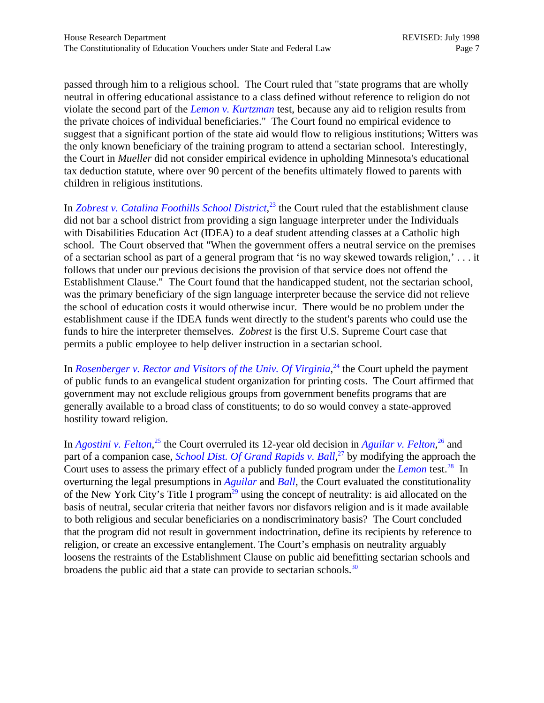passed through him to a religious school. The Court ruled that "state programs that are wholly neutral in offering educational assistance to a class defined without reference to religion do not violate the second part of the *[Lemon v. Kurtzman](http://laws.findlaw.com/US/403/602.html)* test, because any aid to religion results from the private choices of individual beneficiaries." The Court found no empirical evidence to suggest that a significant portion of the state aid would flow to religious institutions; Witters was the only known beneficiary of the training program to attend a sectarian school. Interestingly, the Court in *Mueller* did not consider empirical evidence in upholding Minnesota's educational tax deduction statute, where over 90 percent of the benefits ultimately flowed to parents with children in religious institutions.

In *[Zobrest v. Catalina Foothills School District](http://laws.findlaw.com/US/509/1.html)*,<sup>23</sup> the Court ruled that the establishment clause did not bar a school district from providing a sign language interpreter under the Individuals with Disabilities Education Act (IDEA) to a deaf student attending classes at a Catholic high school. The Court observed that "When the government offers a neutral service on the premises of a sectarian school as part of a general program that 'is no way skewed towards religion,' . . . it follows that under our previous decisions the provision of that service does not offend the Establishment Clause." The Court found that the handicapped student, not the sectarian school, was the primary beneficiary of the sign language interpreter because the service did not relieve the school of education costs it would otherwise incur. There would be no problem under the establishment cause if the IDEA funds went directly to the student's parents who could use the funds to hire the interpreter themselves. *Zobrest* is the first U.S. Supreme Court case that permits a public employee to help deliver instruction in a sectarian school.

In *[Rosenberger v. Rector and Visitors of the Univ. Of Virginia](http://laws.findlaw.com/US/000/U10270.html)*,<sup>24</sup> the Court upheld the payment of public funds to an evangelical student organization for printing costs. The Court affirmed that government may not exclude religious groups from government benefits programs that are generally available to a broad class of constituents; to do so would convey a state-approved hostility toward religion.

In *[Agostini v. Felton](http://laws.findlaw.com/US/000/96-552.html)*<sup>25</sup>, the Court overruled its 12-year old decision in *Aguilar v. Felton*<sup>26</sup> and part of a companion case, *School Dist. Of Grand Rapids v. Ball*,<sup>[27](#page-11-0)</sup> by modifying the approach the Court uses to assess the primary effect of a publicly funded program under the *[Lemon](http://laws.findlaw.com/US/403/602.html)* test.<sup>28</sup> In overturning the legal presumptions in *[Aguilar](http://laws.findlaw.com/US/473/402.html)* and *[Ball](http://laws.findlaw.com/US/473/373.html)*, the Court evaluated the constitutionality of the New York City's Title I program<sup>29</sup> using the concept of neutrality: is aid allocated on the basis of neutral, secular criteria that neither favors nor disfavors religion and is it made available to both religious and secular beneficiaries on a nondiscriminatory basis? The Court concluded that the program did not result in government indoctrination, define its recipients by reference to religion, or create an excessive entanglement. The Court's emphasis on neutrality arguably loosens the restraints of the Establishment Clause on public aid benefitting sectarian schools and broadens the public aid that a state can provide to sectarian schools.<sup>30</sup>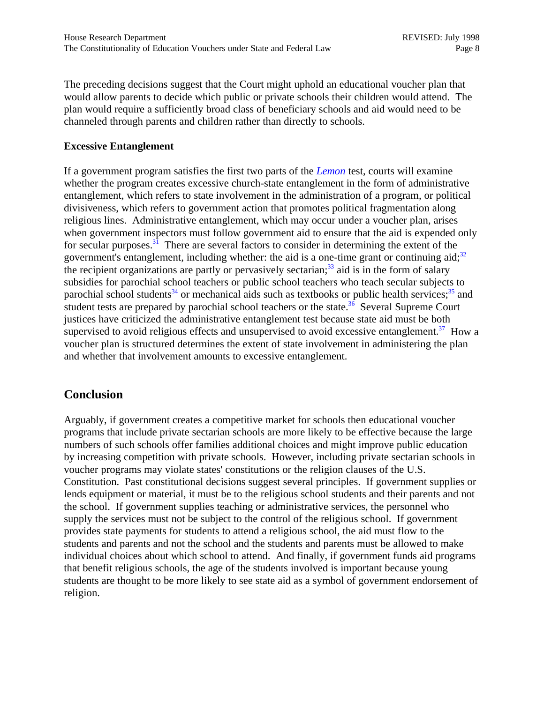The preceding decisions suggest that the Court might uphold an educational voucher plan that would allow parents to decide which public or private schools their children would attend. The plan would require a sufficiently broad class of beneficiary schools and aid would need to be channeled through parents and children rather than directly to schools.

## **Excessive Entanglement**

If a government program satisfies the first two parts of the *[Lemon](http://laws.findlaw.com/US/403/602.html)* test, courts will examine whether the program creates excessive church-state entanglement in the form of administrative entanglement, which refers to state involvement in the administration of a program, or political divisiveness, which refers to government action that promotes political fragmentation along religious lines. Administrative entanglement, which may occur under a voucher plan, arises when government inspectors must follow government aid to ensure that the aid is expended only for secular purposes.<sup>31</sup> There are several factors to consider in determining the extent of the government's entanglement, including whether: the aid is a one-time grant or continuing aid; $32$ the recipient organizations are partly or pervasively sectarian;<sup>33</sup> aid is in the form of salary subsidies for parochial school teachers or public school teachers who teach secular subjects to parochial school students<sup>34</sup> or mechanical aids such as textbooks or public health services;<sup>35</sup> and student tests are prepared by parochial school teachers or the state.<sup>36</sup> Several Supreme Court justices have criticized the administrative entanglement test because state aid must be both supervised to avoid religious effects and unsupervised to avoid excessive entanglement.<sup>37</sup> How a voucher plan is structured determines the extent of state involvement in administering the plan and whether that involvement amounts to excessive entanglement.

## **Conclusion**

Arguably, if government creates a competitive market for schools then educational voucher programs that include private sectarian schools are more likely to be effective because the large numbers of such schools offer families additional choices and might improve public education by increasing competition with private schools. However, including private sectarian schools in voucher programs may violate states' constitutions or the religion clauses of the U.S. Constitution. Past constitutional decisions suggest several principles. If government supplies or lends equipment or material, it must be to the religious school students and their parents and not the school. If government supplies teaching or administrative services, the personnel who supply the services must not be subject to the control of the religious school. If government provides state payments for students to attend a religious school, the aid must flow to the students and parents and not the school and the students and parents must be allowed to make individual choices about which school to attend. And finally, if government funds aid programs that benefit religious schools, the age of the students involved is important because young students are thought to be more likely to see state aid as a symbol of government endorsement of religion.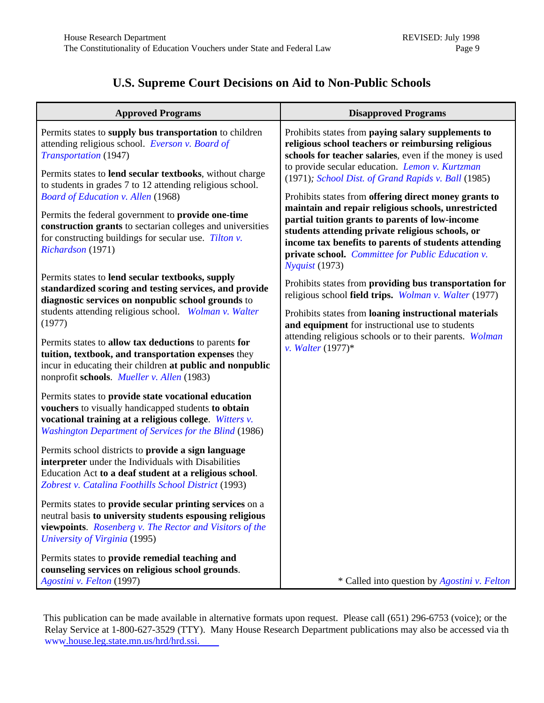# **U.S. Supreme Court Decisions on Aid to Non-Public Schools**

<span id="page-8-0"></span>

| <b>Approved Programs</b>                                                                                                                                                                                                                                                                                                                                                                                                                                                                                                                                                                                                                                                                                                                                                                                                                                                                                                                                                         | <b>Disapproved Programs</b>                                                                                                                                                                                                                                                                                                                                                                                                                                                                                                                                                                                                                                                                                                                                                                                                                                                                                                                           |
|----------------------------------------------------------------------------------------------------------------------------------------------------------------------------------------------------------------------------------------------------------------------------------------------------------------------------------------------------------------------------------------------------------------------------------------------------------------------------------------------------------------------------------------------------------------------------------------------------------------------------------------------------------------------------------------------------------------------------------------------------------------------------------------------------------------------------------------------------------------------------------------------------------------------------------------------------------------------------------|-------------------------------------------------------------------------------------------------------------------------------------------------------------------------------------------------------------------------------------------------------------------------------------------------------------------------------------------------------------------------------------------------------------------------------------------------------------------------------------------------------------------------------------------------------------------------------------------------------------------------------------------------------------------------------------------------------------------------------------------------------------------------------------------------------------------------------------------------------------------------------------------------------------------------------------------------------|
| Permits states to supply bus transportation to children<br>attending religious school. Everson v. Board of<br>Transportation (1947)<br>Permits states to lend secular textbooks, without charge<br>to students in grades 7 to 12 attending religious school.<br><b>Board of Education v. Allen (1968)</b><br>Permits the federal government to provide one-time<br>construction grants to sectarian colleges and universities<br>for constructing buildings for secular use. Tilton $v$ .<br>Richardson (1971)<br>Permits states to lend secular textbooks, supply<br>standardized scoring and testing services, and provide<br>diagnostic services on nonpublic school grounds to<br>students attending religious school. Wolman v. Walter<br>(1977)<br>Permits states to allow tax deductions to parents for<br>tuition, textbook, and transportation expenses they<br>incur in educating their children at public and nonpublic<br>nonprofit schools. Mueller v. Allen (1983) | Prohibits states from paying salary supplements to<br>religious school teachers or reimbursing religious<br>schools for teacher salaries, even if the money is used<br>to provide secular education. Lemon v. Kurtzman<br>(1971); School Dist. of Grand Rapids v. Ball (1985)<br>Prohibits states from offering direct money grants to<br>maintain and repair religious schools, unrestricted<br>partial tuition grants to parents of low-income<br>students attending private religious schools, or<br>income tax benefits to parents of students attending<br>private school. Committee for Public Education v.<br>Nyquist (1973)<br>Prohibits states from providing bus transportation for<br>religious school field trips. Wolman v. Walter (1977)<br>Prohibits states from loaning instructional materials<br>and equipment for instructional use to students<br>attending religious schools or to their parents. Wolman<br>v. Walter $(1977)^*$ |
| Permits states to provide state vocational education<br>vouchers to visually handicapped students to obtain<br>vocational training at a religious college. Witters v.<br><b>Washington Department of Services for the Blind (1986)</b>                                                                                                                                                                                                                                                                                                                                                                                                                                                                                                                                                                                                                                                                                                                                           |                                                                                                                                                                                                                                                                                                                                                                                                                                                                                                                                                                                                                                                                                                                                                                                                                                                                                                                                                       |
| Permits school districts to provide a sign language<br>interpreter under the Individuals with Disabilities<br>Education Act to a deaf student at a religious school.<br>Zobrest v. Catalina Foothills School District (1993)                                                                                                                                                                                                                                                                                                                                                                                                                                                                                                                                                                                                                                                                                                                                                     |                                                                                                                                                                                                                                                                                                                                                                                                                                                                                                                                                                                                                                                                                                                                                                                                                                                                                                                                                       |
| Permits states to provide secular printing services on a<br>neutral basis to university students espousing religious<br>viewpoints. Rosenberg v. The Rector and Visitors of the<br>University of Virginia (1995)                                                                                                                                                                                                                                                                                                                                                                                                                                                                                                                                                                                                                                                                                                                                                                 |                                                                                                                                                                                                                                                                                                                                                                                                                                                                                                                                                                                                                                                                                                                                                                                                                                                                                                                                                       |
| Permits states to provide remedial teaching and<br>counseling services on religious school grounds.<br>Agostini v. Felton (1997)                                                                                                                                                                                                                                                                                                                                                                                                                                                                                                                                                                                                                                                                                                                                                                                                                                                 | * Called into question by Agostini v. Felton                                                                                                                                                                                                                                                                                                                                                                                                                                                                                                                                                                                                                                                                                                                                                                                                                                                                                                          |

This publication can be made available in alternative formats upon request. Please call (651) 296-6753 (voice); or the Relay Service at 1-800-627-3529 (TTY). Many House Research Department publications may also be accessed via th [www.house.leg.state.mn.us/hrd/hrd.ssi.](http://www.house.leg.state.mn.us/hrd/hrd.htm)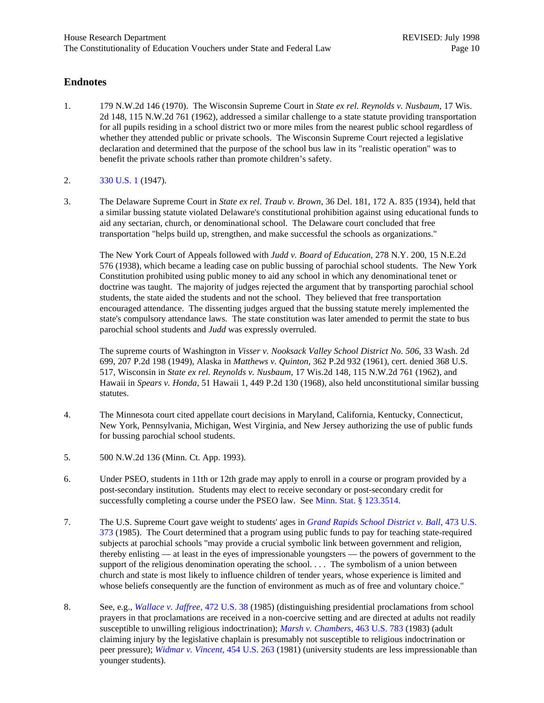#### <span id="page-9-0"></span>**Endnotes**

- 1. 179 N.W.2d 146 (1970). The Wisconsin Supreme Court in *State ex rel. Reynolds v. Nusbaum,* 17 Wis. 2d 148, 115 N.W.2d 761 (1962), addressed a similar challenge to a state statute providing transportation for all pupils residing in a school district two or more miles from the nearest public school regardless of whether they attended public or private schools. The Wisconsin Supreme Court rejected a legislative declaration and determined that the purpose of the school bus law in its "realistic operation" was to benefit the private schools rather than promote children's safety.
- 2. [330 U.S. 1](http://laws.findlaw.com/US/330/1.html) (1947).
- 3. The Delaware Supreme Court in *State ex rel. Traub v. Brown*, 36 Del. 181, 172 A. 835 (1934), held that a similar bussing statute violated Delaware's constitutional prohibition against using educational funds to aid any sectarian, church, or denominational school. The Delaware court concluded that free transportation "helps build up, strengthen, and make successful the schools as organizations."

The New York Court of Appeals followed with *Judd v. Board of Education*, 278 N.Y. 200, 15 N.E.2d 576 (1938), which became a leading case on public bussing of parochial school students. The New York Constitution prohibited using public money to aid any school in which any denominational tenet or doctrine was taught. The majority of judges rejected the argument that by transporting parochial school students, the state aided the students and not the school. They believed that free transportation encouraged attendance. The dissenting judges argued that the bussing statute merely implemented the state's compulsory attendance laws. The state constitution was later amended to permit the state to bus parochial school students and *Judd* was expressly overruled.

The supreme courts of Washington in *Visser v. Nooksack Valley School District No. 506*, 33 Wash. 2d 699, 207 P.2d 198 (1949), Alaska in *Matthews v. Quinton*, 362 P.2d 932 (1961), cert. denied 368 U.S. 517, Wisconsin in *State ex rel. Reynolds v. Nusbaum*, 17 Wis.2d 148, 115 N.W.2d 761 (1962), and Hawaii in *Spears v. Honda*, 51 Hawaii 1, 449 P.2d 130 (1968), also held unconstitutional similar bussing statutes.

- 4. The Minnesota court cited appellate court decisions in Maryland, California, Kentucky, Connecticut, New York, Pennsylvania, Michigan, West Virginia, and New Jersey authorizing the use of public funds for bussing parochial school students.
- 5. 500 N.W.2d 136 (Minn. Ct. App. 1993).
- 6. Under PSEO, students in 11th or 12th grade may apply to enroll in a course or program provided by a post-secondary institution. Students may elect to receive secondary or post-secondary credit for successfully completing a course under the PSEO law. See [Minn. Stat. § 123.3514.](http://www.revisor.leg.state.mn.us/stats/123/3514.html)
- 7. The U.S. Supreme Court gave weight to students' ages in *[Grand Rapids School District v. Ball](http://laws.findlaw.com/US/473/373.html)*, 473 U.S. [373](http://laws.findlaw.com/US/473/373.html) (1985). The Court determined that a program using public funds to pay for teaching state-required subjects at parochial schools "may provide a crucial symbolic link between government and religion, thereby enlisting — at least in the eyes of impressionable youngsters — the powers of government to the support of the religious denomination operating the school. . . . The symbolism of a union between church and state is most likely to influence children of tender years, whose experience is limited and whose beliefs consequently are the function of environment as much as of free and voluntary choice."
- 8. See, e.g., *[Wallace v. Jaffree](http://laws.findlaw.com/US/472/38.html)*, 472 U.S. 38 (1985) (distinguishing presidential proclamations from school prayers in that proclamations are received in a non-coercive setting and are directed at adults not readily susceptible to unwilling religious indoctrination); *[Marsh v. Chambers](http://laws.findlaw.com/US/463/783.html)*, 463 U.S. 783 (1983) (adult claiming injury by the legislative chaplain is presumably not susceptible to religious indoctrination or peer pressure); *[Widmar v. Vincent](http://laws.findlaw.com/US/454/263.html)*, 454 U.S. 263 (1981) (university students are less impressionable than younger students).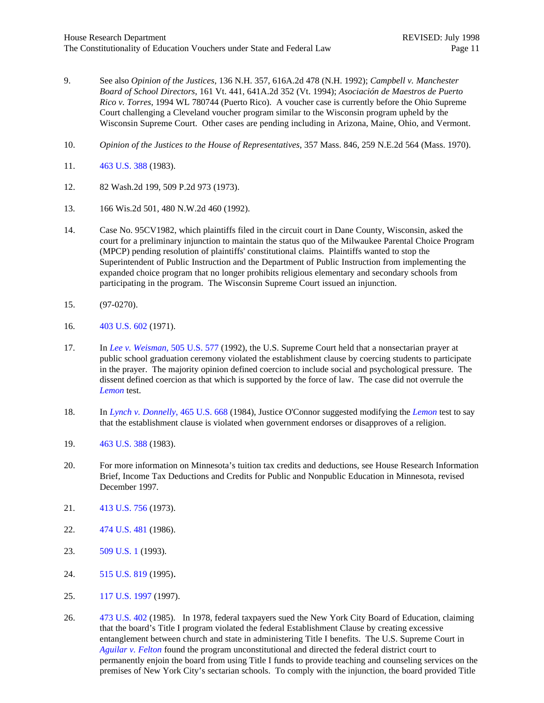- <span id="page-10-0"></span>9. See also *Opinion of the Justices*, 136 N.H. 357, 616A.2d 478 (N.H. 1992); *Campbell v. Manchester Board of School Directors*, 161 Vt. 441, 641A.2d 352 (Vt. 1994); *Asociación de Maestros de Puerto Rico v. Torres*, 1994 WL 780744 (Puerto Rico). A voucher case is currently before the Ohio Supreme Court challenging a Cleveland voucher program similar to the Wisconsin program upheld by the Wisconsin Supreme Court. Other cases are pending including in Arizona, Maine, Ohio, and Vermont.
- 10. *Opinion of the Justices to the House of Representatives*, 357 Mass. 846, 259 N.E.2d 564 (Mass. 1970).
- 11. [463 U.S. 388](http://laws.findlaw.com/US/463/388.html) (1983).
- 12. 82 Wash.2d 199, 509 P.2d 973 (1973).
- 13. 166 Wis.2d 501, 480 N.W.2d 460 (1992).
- 14. Case No. 95CV1982, which plaintiffs filed in the circuit court in Dane County, Wisconsin, asked the court for a preliminary injunction to maintain the status quo of the Milwaukee Parental Choice Program (MPCP) pending resolution of plaintiffs' constitutional claims. Plaintiffs wanted to stop the Superintendent of Public Instruction and the Department of Public Instruction from implementing the expanded choice program that no longer prohibits religious elementary and secondary schools from participating in the program. The Wisconsin Supreme Court issued an injunction.
- 15. (97-0270).
- 16. [403 U.S. 602 \(](http://laws.findlaw.com/US/403/602.html)1971).
- 17. In *[Lee v. Weisman](http://laws.findlaw.com/US/505/577.html)*, 505 U.S. 577 (1992), the U.S. Supreme Court held that a nonsectarian prayer at public school graduation ceremony violated the establishment clause by coercing students to participate in the prayer. The majority opinion defined coercion to include social and psychological pressure. The dissent defined coercion as that which is supported by the force of law. The case did not overrule the *[Lemon](http://laws.findlaw.com/US/403/602.html)* test.
- 18. In *[Lynch v. Donnelly](http://laws.findlaw.com/US/465/668.html)*, 465 U.S. 668 (1984), Justice O'Connor suggested modifying the *[Lemon](http://laws.findlaw.com/US/403/602.html)* test to say that the establishment clause is violated when government endorses or disapproves of a religion.
- 19. [463 U.S. 388 \(](http://laws.findlaw.com/US/463/388.html)1983).
- 20. For more information on Minnesota's tuition tax credits and deductions, see House Research Information Brief, Income Tax Deductions and Credits for Public and Nonpublic Education in Minnesota, revised December 1997.
- 21. [413 U.S. 756](http://laws.findlaw.com/US/413/756.html) (1973).
- 22. [474 U.S. 481](http://laws.findlaw.com/US/474/481.html) (1986).
- 23. [509 U.S. 1](http://laws.findlaw.com/US/509/1.html) (1993).
- 24. [515 U.S. 819 \(](http://laws.findlaw.com/US/000/U10270.html)1995).
- 25. [117 U.S. 1997 \(](http://laws.findlaw.com/US/000/96-552.html)1997).
- 26. [473 U.S. 402 \(](http://laws.findlaw.com/US/473/402.html)1985). In 1978, federal taxpayers sued the New York City Board of Education, claiming that the board's Title I program violated the federal Establishment Clause by creating excessive entanglement between church and state in administering Title I benefits. The U.S. Supreme Court in *[Aguilar v. Felton](http://laws.findlaw.com/US/473/402.html)* found the program unconstitutional and directed the federal district court to permanently enjoin the board from using Title I funds to provide teaching and counseling services on the premises of New York City's sectarian schools. To comply with the injunction, the board provided Title